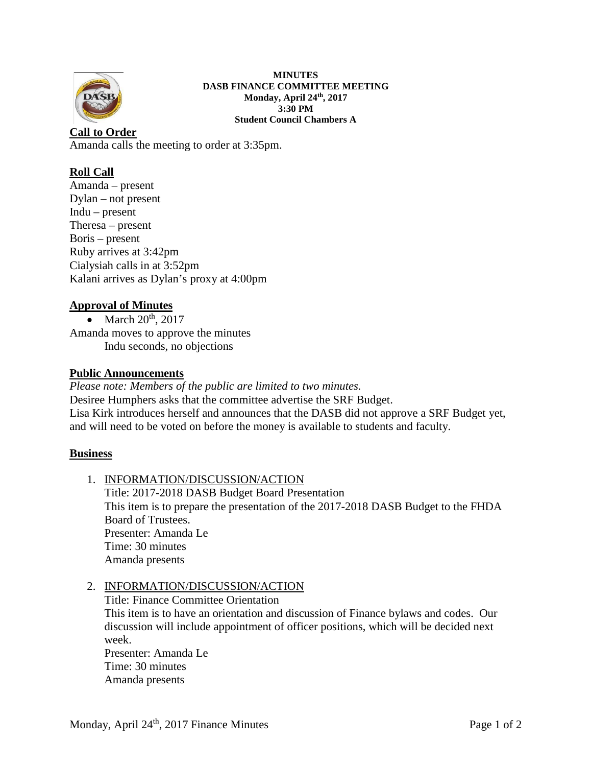

**MINUTES DASB FINANCE COMMITTEE MEETING Monday, April 24th, 2017 3:30 PM Student Council Chambers A**

**Call to Order** Amanda calls the meeting to order at 3:35pm.

# **Roll Call**

Amanda – present Dylan – not present Indu – present Theresa – present Boris – present Ruby arrives at 3:42pm Cialysiah calls in at 3:52pm Kalani arrives as Dylan's proxy at 4:00pm

# **Approval of Minutes**

• March  $20^{th}$ ,  $2017$ Amanda moves to approve the minutes Indu seconds, no objections

### **Public Announcements**

*Please note: Members of the public are limited to two minutes.*  Desiree Humphers asks that the committee advertise the SRF Budget. Lisa Kirk introduces herself and announces that the DASB did not approve a SRF Budget yet, and will need to be voted on before the money is available to students and faculty.

### **Business**

1. INFORMATION/DISCUSSION/ACTION Title: 2017-2018 DASB Budget Board Presentation This item is to prepare the presentation of the 2017-2018 DASB Budget to the FHDA Board of Trustees. Presenter: Amanda Le Time: 30 minutes Amanda presents

### 2. INFORMATION/DISCUSSION/ACTION

Title: Finance Committee Orientation This item is to have an orientation and discussion of Finance bylaws and codes. Our discussion will include appointment of officer positions, which will be decided next week. Presenter: Amanda Le

Time: 30 minutes Amanda presents